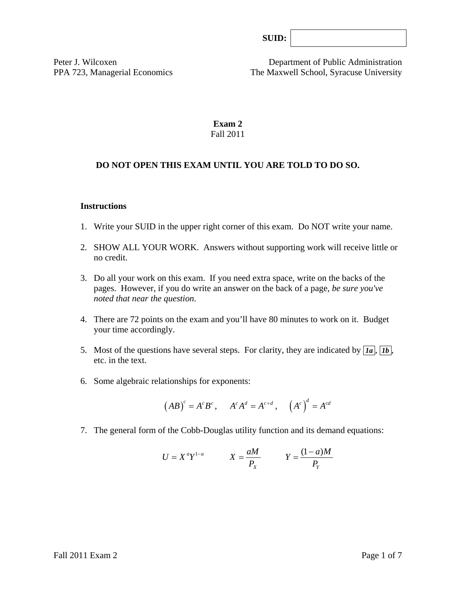| SUB: |  |
|------|--|
|      |  |

Peter J. Wilcoxen Department of Public Administration PPA 723, Managerial Economics The Maxwell School, Syracuse University

# **Exam 2**  Fall 2011

### **DO NOT OPEN THIS EXAM UNTIL YOU ARE TOLD TO DO SO.**

#### **Instructions**

- 1. Write your SUID in the upper right corner of this exam. Do NOT write your name.
- 2. SHOW ALL YOUR WORK. Answers without supporting work will receive little or no credit.
- 3. Do all your work on this exam. If you need extra space, write on the backs of the pages. However, if you do write an answer on the back of a page, *be sure you've noted that near the question*.
- 4. There are 72 points on the exam and you'll have 80 minutes to work on it. Budget your time accordingly.
- 5. Most of the questions have several steps. For clarity, they are indicated by  $\overline{Ia}$ ,  $\overline{Ib}$ , etc. in the text.
- 6. Some algebraic relationships for exponents:

$$
(AB)^c = A^c B^c
$$
,  $A^c A^d = A^{c+d}$ ,  $(A^c)^d = A^{cd}$ 

7. The general form of the Cobb-Douglas utility function and its demand equations:

$$
U = X^a Y^{1-a} \qquad X = \frac{aM}{P_X} \qquad Y = \frac{(1-a)M}{P_Y}
$$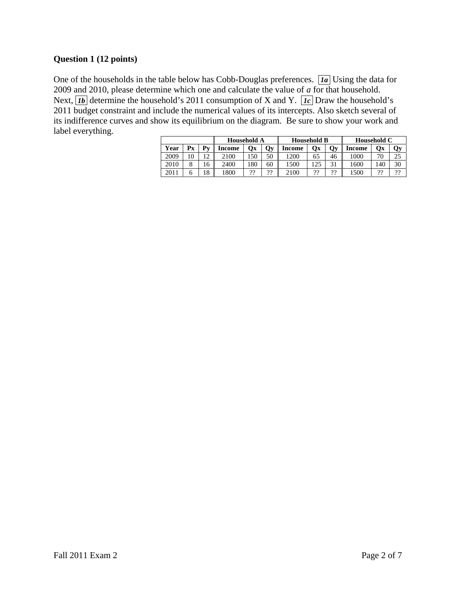# **Question 1 (12 points)**

One of the households in the table below has Cobb-Douglas preferences. *1a* Using the data for 2009 and 2010, please determine which one and calculate the value of *a* for that household. Next,  $\overline{1b}$  determine the household's 2011 consumption of X and Y.  $\overline{1c}$  Draw the household's 2011 budget constraint and include the numerical values of its intercepts. Also sketch several of its indifference curves and show its equilibrium on the diagram. Be sure to show your work and label everything.

|      |          |           | <b>Household A</b> |     |    | <b>Household B</b> |     |                   | Household C |     |    |
|------|----------|-----------|--------------------|-----|----|--------------------|-----|-------------------|-------------|-----|----|
| Year | Рx       | Pv        | Income             | Ox  | Qy | Income             | Оx  | Qy                | Income      | Oх  | Qy |
| 2009 | 0        | $\bigcap$ | 2100               | 50ء | 50 | 1200               | 65  | 46                | 1000        | חר  | 25 |
| 2010 | $\Omega$ | 16        | 2400               | 180 | 60 | 1500               | 125 | $\mathcal{L}_{1}$ | 1600        | 140 | 30 |
| 2011 |          | 18        | 800                | ??  | 99 | 2100               | 99  | າາ                | 1500        | າາ  | າາ |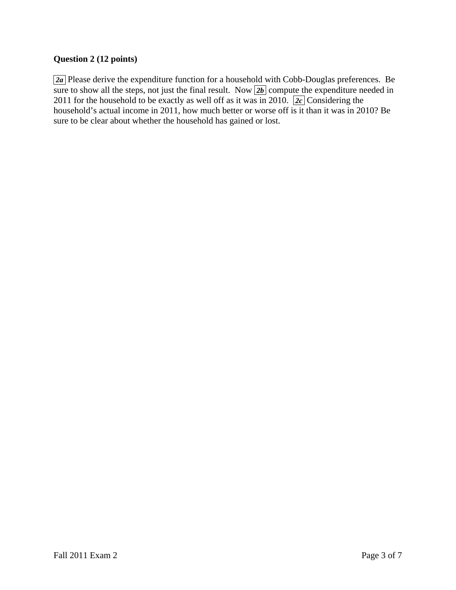# **Question 2 (12 points)**

 *2a* Please derive the expenditure function for a household with Cobb-Douglas preferences. Be sure to show all the steps, not just the final result. Now  $2b$  compute the expenditure needed in 2011 for the household to be exactly as well off as it was in 2010.  $2c$  Considering the household's actual income in 2011, how much better or worse off is it than it was in 2010? Be sure to be clear about whether the household has gained or lost.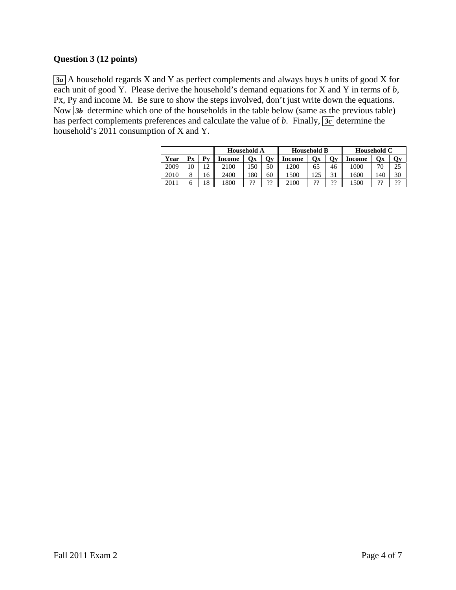# **Question 3 (12 points)**

 *3a* A household regards X and Y as perfect complements and always buys *b* units of good X for each unit of good Y. Please derive the household's demand equations for X and Y in terms of *b,*  Px, Py and income M. Be sure to show the steps involved, don't just write down the equations. Now  $\overline{3b}$  determine which one of the households in the table below (same as the previous table) has perfect complements preferences and calculate the value of *b*. Finally,  $\overline{3c}$  determine the household's 2011 consumption of X and Y.

|      |    |              | <b>Household A</b> |     |              | <b>Household B</b> |     |           | Household C |     |    |
|------|----|--------------|--------------------|-----|--------------|--------------------|-----|-----------|-------------|-----|----|
| Year | Рx | $\mathbf{v}$ | Income             | Qх  | $\mathbf{v}$ | Income             | Эx  | Qy        | Income      | Ox  | Qу |
| 2009 | 10 | $\bigcap$    | 2100               | .50 | 50           | '200               | 65  | 46        | 1000        | 70  | 25 |
| 2010 |    | .6           | 2400               | 80  | 60           | 1500               | 125 | 31        | 1600        | 140 | 30 |
| 2011 |    | 8            | 1800               | 99  | 99<br>. .    | 2100               | 99  | າາ<br>. . | 1500        | າງ  | າາ |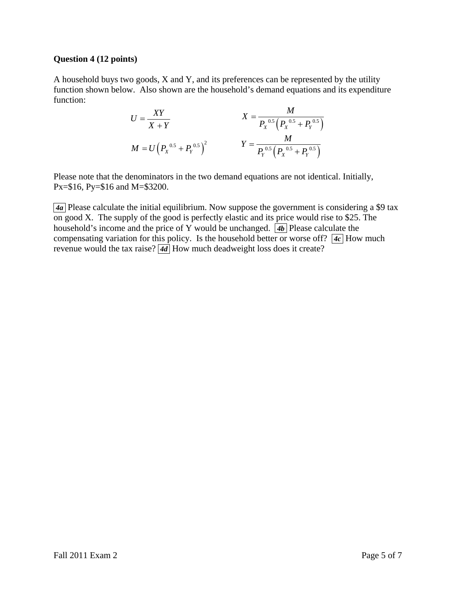#### **Question 4 (12 points)**

A household buys two goods, X and Y, and its preferences can be represented by the utility function shown below. Also shown are the household's demand equations and its expenditure function:

$$
U = \frac{XY}{X+Y}
$$
  
\n
$$
X = \frac{M}{P_X^{0.5} (P_X^{0.5} + P_Y^{0.5})}
$$
  
\n
$$
M = U (P_X^{0.5} + P_Y^{0.5})^2
$$
  
\n
$$
Y = \frac{M}{P_Y^{0.5} (P_X^{0.5} + P_Y^{0.5})}
$$

Please note that the denominators in the two demand equations are not identical. Initially, Px=\$16, Py=\$16 and M=\$3200.

 *4a* Please calculate the initial equilibrium. Now suppose the government is considering a \$9 tax on good X. The supply of the good is perfectly elastic and its price would rise to \$25. The household's income and the price of Y would be unchanged.  $\overline{4b}$  Please calculate the compensating variation for this policy. Is the household better or worse off?  $\overline{4c}$  How much revenue would the tax raise? **4d** How much deadweight loss does it create?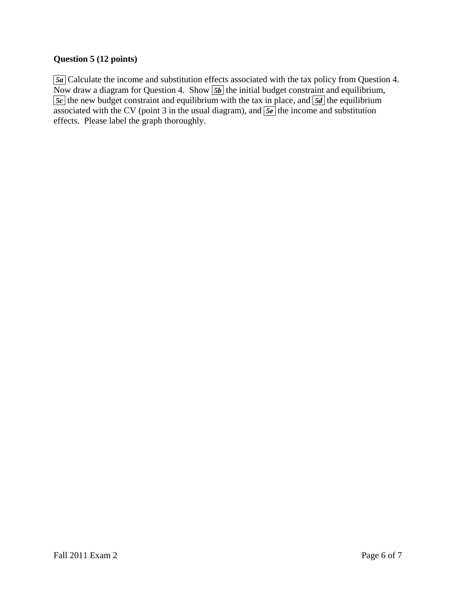## **Question 5 (12 points)**

 *5a* Calculate the income and substitution effects associated with the tax policy from Question 4. Now draw a diagram for Question 4. Show  $\boxed{5b}$  the initial budget constraint and equilibrium, *<u>5c</u>* the new budget constraint and equilibrium with the tax in place, and **5d** the equilibrium associated with the CV (point 3 in the usual diagram), and  $\sqrt{5e}$  the income and substitution effects. Please label the graph thoroughly.